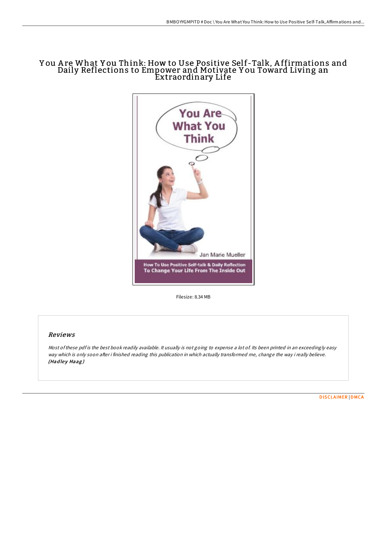## Y ou A re What Y ou Think: How to Use Positive Self-Talk, A ffirmations and Daily Reflections to Empower and Motivate Y ou Toward Living an Extraordinary Life



Filesize: 8.34 MB

## Reviews

Most of these pdf is the best book readily available. It usually is not going to expense a lot of. Its been printed in an exceedingly easy way which is only soon after i finished reading this publication in which actually transformed me, change the way i really believe. (Hadley Haag)

[DISCLAIMER](http://almighty24.tech/disclaimer.html) | [DMCA](http://almighty24.tech/dmca.html)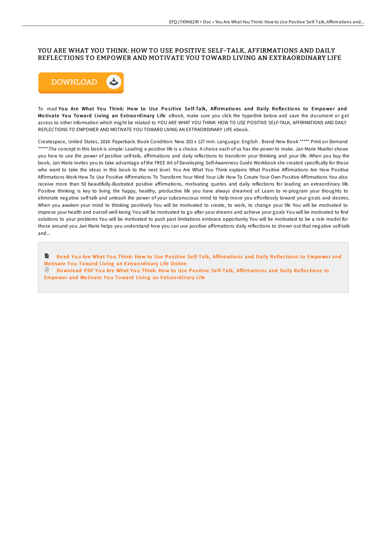## YOU ARE WHAT YOU THINK: HOW TO USE POSITIVE SELF-TALK, AFFIRMATIONS AND DAILY REFLECTIONS TO EMPOWER AND MOTIVATE YOU TOWARD LIVING AN EXTRAORDINARY LIFE



To read You Are What You Think: How to Use Positive Self-Talk, Affirmations and Daily Reflections to Empower and Motivate You Toward Living an Extraordinary Life eBook, make sure you click the hyperlink below and save the document or get access to other information which might be related to YOU ARE WHAT YOU THINK: HOW TO USE POSITIVE SELF-TALK, AFFIRMATIONS AND DAILY REFLECTIONS TO EMPOWER AND MOTIVATE YOU TOWARD LIVING AN EXTRAORDINARY LIFE ebook.

Createspace, United States, 2014. Paperback. Book Condition: New. 203 x 127 mm. Language: English . Brand New Book \*\*\*\*\* Print on Demand \*\*\*\*\*.The concept in this book is simple: Leading a positive life is a choice. A choice each of us has the power to make. Jan Marie Mueller shows you how to use the power of positive self-talk, affirmations and daily reflections to transform your thinking and your life. When you buy the book, Jan Marie invites you to take advantage of the FREE Art of Developing Self-Awareness Guide Workbook she created specifically for those who want to take the ideas in this book to the next level. You Are What You Think explains What Positive Affirmations Are How Positive Affirmations Work How To Use Positive Affirmations To Transform Your Mind Your Life How To Create Your Own Positive Affirmations You also receive more than 50 beautifully-illustrated positive affirmations, motivating quotes and daily reflections for leading an extraordinary life. Positive thinking is key to living the happy, healthy, productive life you have always dreamed of. Learn to re-program your thoughts to eliminate negative self-talk and unleash the power of your subconscious mind to help move you effortlessly toward your goals and desires. When you awaken your mind to thinking positively You will be motivated to create, to work, to change your life You will be motivated to improve your health and overall well-being You will be motivated to go after your dreams and achieve your goals You will be motivated to find solutions to your problems You will be motivated to push past limitations embrace opportunity You will be motivated to be a role model for those around you Jan Marie helps you understand how you can use positive affirmations daily reflections to drown out that negative self-talk and...

 $\blacksquare$ Read You Are What You Think: How to Use Positive Self-Talk, [Affirmatio](http://almighty24.tech/you-are-what-you-think-how-to-use-positive-self-.html)ns and Daily Reflections to Empower and Motivate You Toward Living an Extraordinary Life Online  $\Box$  Download PDF You Are What You Think: How to Use Positive Self-Talk, [Affirmatio](http://almighty24.tech/you-are-what-you-think-how-to-use-positive-self-.html)ns and Daily Reflections to Empower and Motivate You Toward Living an Extraordinary Life